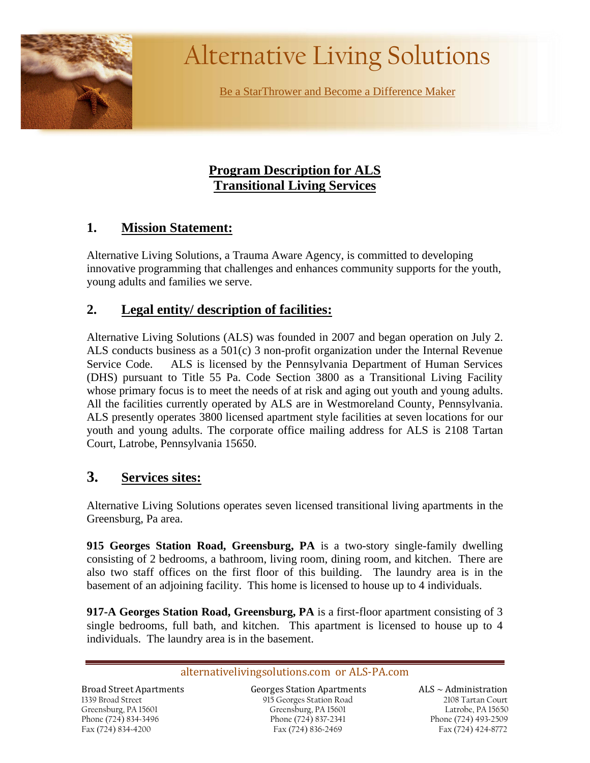

# Alternative Living Solutions

Be a StarThrower and Become a Difference Maker

# **Program Description for ALS Transitional Living Services**

# **1. Mission Statement:**

Alternative Living Solutions, a Trauma Aware Agency, is committed to developing innovative programming that challenges and enhances community supports for the youth, young adults and families we serve.

# **2. Legal entity/ description of facilities:**

Alternative Living Solutions (ALS) was founded in 2007 and began operation on July 2. ALS conducts business as a  $501(c)$  3 non-profit organization under the Internal Revenue Service Code. ALS is licensed by the Pennsylvania Department of Human Services (DHS) pursuant to Title 55 Pa. Code Section 3800 as a Transitional Living Facility whose primary focus is to meet the needs of at risk and aging out youth and young adults. All the facilities currently operated by ALS are in Westmoreland County, Pennsylvania. ALS presently operates 3800 licensed apartment style facilities at seven locations for our youth and young adults. The corporate office mailing address for ALS is 2108 Tartan Court, Latrobe, Pennsylvania 15650.

# **3. Services sites:**

Alternative Living Solutions operates seven licensed transitional living apartments in the Greensburg, Pa area.

**915 Georges Station Road, Greensburg, PA** is a two-story single-family dwelling consisting of 2 bedrooms, a bathroom, living room, dining room, and kitchen. There are also two staff offices on the first floor of this building. The laundry area is in the basement of an adjoining facility. This home is licensed to house up to 4 individuals.

**917-A Georges Station Road, Greensburg, PA** is a first-floor apartment consisting of 3 single bedrooms, full bath, and kitchen. This apartment is licensed to house up to 4 individuals. The laundry area is in the basement.

#### alternativelivingsolutions.com or ALS-PA.com

 Greensburg, PA 15601 1339 Broad Street Phone (724) 834~3496 Fax (724) 834~4200

Broad Street Apartments Georges Station Apartments ALS ~ Administration 915 Georges Station Road Greensburg, PA 15601 Phone (724) 837~2341 Fax (724) 836~2469

 $ALS \sim$  Administration 2108 Tartan Court Latrobe, PA 15650 Phone (724) 493~2509 Fax (724) 424~8772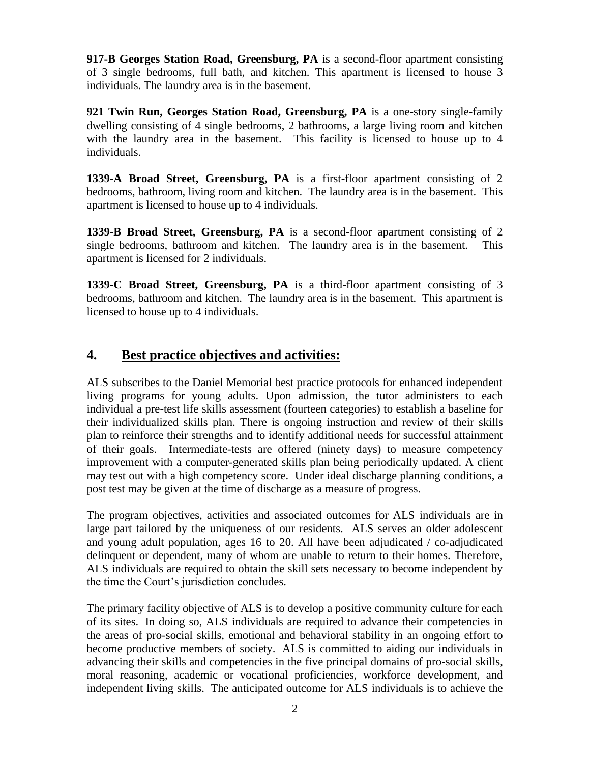**917-B Georges Station Road, Greensburg, PA** is a second-floor apartment consisting of 3 single bedrooms, full bath, and kitchen. This apartment is licensed to house 3 individuals. The laundry area is in the basement.

**921 Twin Run, Georges Station Road, Greensburg, PA** is a one-story single-family dwelling consisting of 4 single bedrooms, 2 bathrooms, a large living room and kitchen with the laundry area in the basement. This facility is licensed to house up to 4 individuals.

**1339-A Broad Street, Greensburg, PA** is a first-floor apartment consisting of 2 bedrooms, bathroom, living room and kitchen. The laundry area is in the basement. This apartment is licensed to house up to 4 individuals.

**1339-B Broad Street, Greensburg, PA** is a second-floor apartment consisting of 2 single bedrooms, bathroom and kitchen. The laundry area is in the basement. This apartment is licensed for 2 individuals.

**1339-C Broad Street, Greensburg, PA** is a third-floor apartment consisting of 3 bedrooms, bathroom and kitchen. The laundry area is in the basement. This apartment is licensed to house up to 4 individuals.

## **4. Best practice objectives and activities:**

ALS subscribes to the Daniel Memorial best practice protocols for enhanced independent living programs for young adults. Upon admission, the tutor administers to each individual a pre-test life skills assessment (fourteen categories) to establish a baseline for their individualized skills plan. There is ongoing instruction and review of their skills plan to reinforce their strengths and to identify additional needs for successful attainment of their goals. Intermediate-tests are offered (ninety days) to measure competency improvement with a computer-generated skills plan being periodically updated. A client may test out with a high competency score. Under ideal discharge planning conditions, a post test may be given at the time of discharge as a measure of progress.

The program objectives, activities and associated outcomes for ALS individuals are in large part tailored by the uniqueness of our residents. ALS serves an older adolescent and young adult population, ages 16 to 20. All have been adjudicated / co-adjudicated delinquent or dependent, many of whom are unable to return to their homes. Therefore, ALS individuals are required to obtain the skill sets necessary to become independent by the time the Court's jurisdiction concludes.

The primary facility objective of ALS is to develop a positive community culture for each of its sites. In doing so, ALS individuals are required to advance their competencies in the areas of pro-social skills, emotional and behavioral stability in an ongoing effort to become productive members of society. ALS is committed to aiding our individuals in advancing their skills and competencies in the five principal domains of pro-social skills, moral reasoning, academic or vocational proficiencies, workforce development, and independent living skills. The anticipated outcome for ALS individuals is to achieve the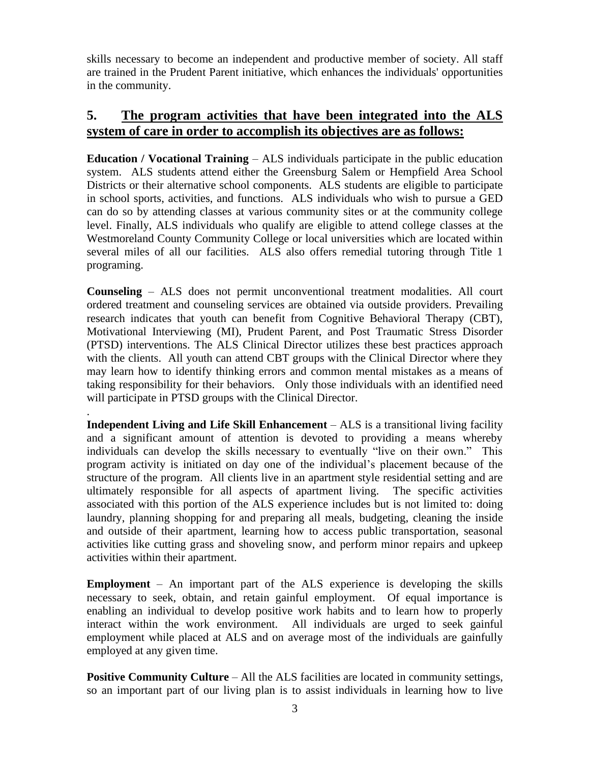skills necessary to become an independent and productive member of society. All staff are trained in the Prudent Parent initiative, which enhances the individuals' opportunities in the community.

# **5. The program activities that have been integrated into the ALS system of care in order to accomplish its objectives are as follows:**

**Education / Vocational Training** – ALS individuals participate in the public education system. ALS students attend either the Greensburg Salem or Hempfield Area School Districts or their alternative school components. ALS students are eligible to participate in school sports, activities, and functions. ALS individuals who wish to pursue a GED can do so by attending classes at various community sites or at the community college level. Finally, ALS individuals who qualify are eligible to attend college classes at the Westmoreland County Community College or local universities which are located within several miles of all our facilities. ALS also offers remedial tutoring through Title 1 programing.

**Counseling** – ALS does not permit unconventional treatment modalities. All court ordered treatment and counseling services are obtained via outside providers. Prevailing research indicates that youth can benefit from Cognitive Behavioral Therapy (CBT), Motivational Interviewing (MI), Prudent Parent, and Post Traumatic Stress Disorder (PTSD) interventions. The ALS Clinical Director utilizes these best practices approach with the clients. All youth can attend CBT groups with the Clinical Director where they may learn how to identify thinking errors and common mental mistakes as a means of taking responsibility for their behaviors. Only those individuals with an identified need will participate in PTSD groups with the Clinical Director.

.

**Independent Living and Life Skill Enhancement** – ALS is a transitional living facility and a significant amount of attention is devoted to providing a means whereby individuals can develop the skills necessary to eventually "live on their own." This program activity is initiated on day one of the individual's placement because of the structure of the program. All clients live in an apartment style residential setting and are ultimately responsible for all aspects of apartment living. The specific activities associated with this portion of the ALS experience includes but is not limited to: doing laundry, planning shopping for and preparing all meals, budgeting, cleaning the inside and outside of their apartment, learning how to access public transportation, seasonal activities like cutting grass and shoveling snow, and perform minor repairs and upkeep activities within their apartment.

**Employment** – An important part of the ALS experience is developing the skills necessary to seek, obtain, and retain gainful employment. Of equal importance is enabling an individual to develop positive work habits and to learn how to properly interact within the work environment. All individuals are urged to seek gainful employment while placed at ALS and on average most of the individuals are gainfully employed at any given time.

**Positive Community Culture** – All the ALS facilities are located in community settings, so an important part of our living plan is to assist individuals in learning how to live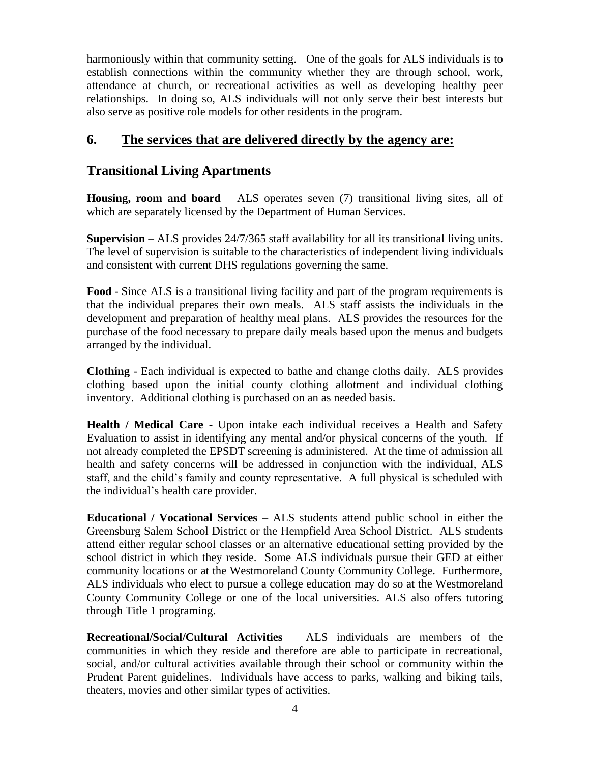harmoniously within that community setting. One of the goals for ALS individuals is to establish connections within the community whether they are through school, work, attendance at church, or recreational activities as well as developing healthy peer relationships. In doing so, ALS individuals will not only serve their best interests but also serve as positive role models for other residents in the program.

# **6. The services that are delivered directly by the agency are:**

## **Transitional Living Apartments**

**Housing, room and board** – ALS operates seven (7) transitional living sites, all of which are separately licensed by the Department of Human Services.

**Supervision** – ALS provides 24/7/365 staff availability for all its transitional living units. The level of supervision is suitable to the characteristics of independent living individuals and consistent with current DHS regulations governing the same.

**Food** - Since ALS is a transitional living facility and part of the program requirements is that the individual prepares their own meals. ALS staff assists the individuals in the development and preparation of healthy meal plans. ALS provides the resources for the purchase of the food necessary to prepare daily meals based upon the menus and budgets arranged by the individual.

**Clothing** - Each individual is expected to bathe and change cloths daily. ALS provides clothing based upon the initial county clothing allotment and individual clothing inventory. Additional clothing is purchased on an as needed basis.

**Health / Medical Care** - Upon intake each individual receives a Health and Safety Evaluation to assist in identifying any mental and/or physical concerns of the youth. If not already completed the EPSDT screening is administered. At the time of admission all health and safety concerns will be addressed in conjunction with the individual, ALS staff, and the child's family and county representative. A full physical is scheduled with the individual's health care provider.

**Educational / Vocational Services** – ALS students attend public school in either the Greensburg Salem School District or the Hempfield Area School District. ALS students attend either regular school classes or an alternative educational setting provided by the school district in which they reside. Some ALS individuals pursue their GED at either community locations or at the Westmoreland County Community College. Furthermore, ALS individuals who elect to pursue a college education may do so at the Westmoreland County Community College or one of the local universities. ALS also offers tutoring through Title 1 programing.

**Recreational/Social/Cultural Activities** – ALS individuals are members of the communities in which they reside and therefore are able to participate in recreational, social, and/or cultural activities available through their school or community within the Prudent Parent guidelines. Individuals have access to parks, walking and biking tails, theaters, movies and other similar types of activities.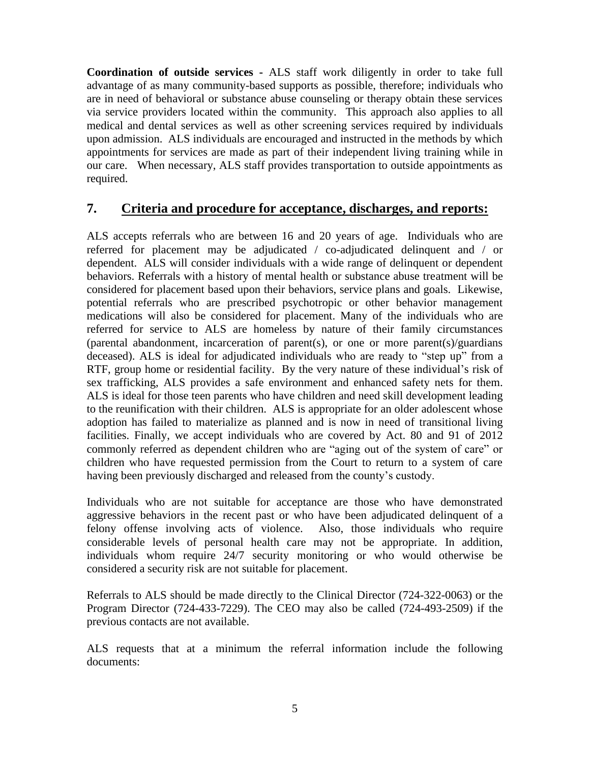**Coordination of outside services -** ALS staff work diligently in order to take full advantage of as many community-based supports as possible, therefore; individuals who are in need of behavioral or substance abuse counseling or therapy obtain these services via service providers located within the community. This approach also applies to all medical and dental services as well as other screening services required by individuals upon admission. ALS individuals are encouraged and instructed in the methods by which appointments for services are made as part of their independent living training while in our care. When necessary, ALS staff provides transportation to outside appointments as required.

## **7. Criteria and procedure for acceptance, discharges, and reports:**

ALS accepts referrals who are between 16 and 20 years of age. Individuals who are referred for placement may be adjudicated / co-adjudicated delinquent and / or dependent. ALS will consider individuals with a wide range of delinquent or dependent behaviors. Referrals with a history of mental health or substance abuse treatment will be considered for placement based upon their behaviors, service plans and goals. Likewise, potential referrals who are prescribed psychotropic or other behavior management medications will also be considered for placement. Many of the individuals who are referred for service to ALS are homeless by nature of their family circumstances (parental abandonment, incarceration of parent(s), or one or more parent(s)/guardians deceased). ALS is ideal for adjudicated individuals who are ready to "step up" from a RTF, group home or residential facility. By the very nature of these individual's risk of sex trafficking, ALS provides a safe environment and enhanced safety nets for them. ALS is ideal for those teen parents who have children and need skill development leading to the reunification with their children. ALS is appropriate for an older adolescent whose adoption has failed to materialize as planned and is now in need of transitional living facilities. Finally, we accept individuals who are covered by Act. 80 and 91 of 2012 commonly referred as dependent children who are "aging out of the system of care" or children who have requested permission from the Court to return to a system of care having been previously discharged and released from the county's custody.

Individuals who are not suitable for acceptance are those who have demonstrated aggressive behaviors in the recent past or who have been adjudicated delinquent of a felony offense involving acts of violence. Also, those individuals who require considerable levels of personal health care may not be appropriate. In addition, individuals whom require 24/7 security monitoring or who would otherwise be considered a security risk are not suitable for placement.

Referrals to ALS should be made directly to the Clinical Director (724-322-0063) or the Program Director (724-433-7229). The CEO may also be called (724-493-2509) if the previous contacts are not available.

ALS requests that at a minimum the referral information include the following documents: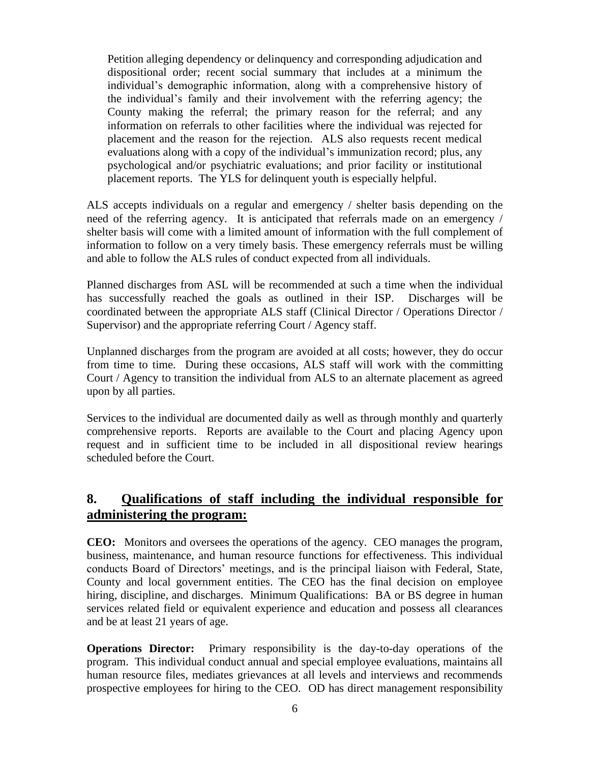Petition alleging dependency or delinquency and corresponding adjudication and dispositional order; recent social summary that includes at a minimum the individual's demographic information, along with a comprehensive history of the individual's family and their involvement with the referring agency; the County making the referral; the primary reason for the referral; and any information on referrals to other facilities where the individual was rejected for placement and the reason for the rejection. ALS also requests recent medical evaluations along with a copy of the individual's immunization record; plus, any psychological and/or psychiatric evaluations; and prior facility or institutional placement reports. The YLS for delinquent youth is especially helpful.

ALS accepts individuals on a regular and emergency / shelter basis depending on the need of the referring agency. It is anticipated that referrals made on an emergency / shelter basis will come with a limited amount of information with the full complement of information to follow on a very timely basis. These emergency referrals must be willing and able to follow the ALS rules of conduct expected from all individuals.

Planned discharges from ASL will be recommended at such a time when the individual has successfully reached the goals as outlined in their ISP. Discharges will be coordinated between the appropriate ALS staff (Clinical Director / Operations Director / Supervisor) and the appropriate referring Court / Agency staff.

Unplanned discharges from the program are avoided at all costs; however, they do occur from time to time. During these occasions, ALS staff will work with the committing Court / Agency to transition the individual from ALS to an alternate placement as agreed upon by all parties.

Services to the individual are documented daily as well as through monthly and quarterly comprehensive reports. Reports are available to the Court and placing Agency upon request and in sufficient time to be included in all dispositional review hearings scheduled before the Court.

## **8. Qualifications of staff including the individual responsible for administering the program:**

**CEO:** Monitors and oversees the operations of the agency. CEO manages the program, business, maintenance, and human resource functions for effectiveness. This individual conducts Board of Directors' meetings, and is the principal liaison with Federal, State, County and local government entities. The CEO has the final decision on employee hiring, discipline, and discharges. Minimum Qualifications: BA or BS degree in human services related field or equivalent experience and education and possess all clearances and be at least 21 years of age.

**Operations Director:** Primary responsibility is the day-to-day operations of the program. This individual conduct annual and special employee evaluations, maintains all human resource files, mediates grievances at all levels and interviews and recommends prospective employees for hiring to the CEO. OD has direct management responsibility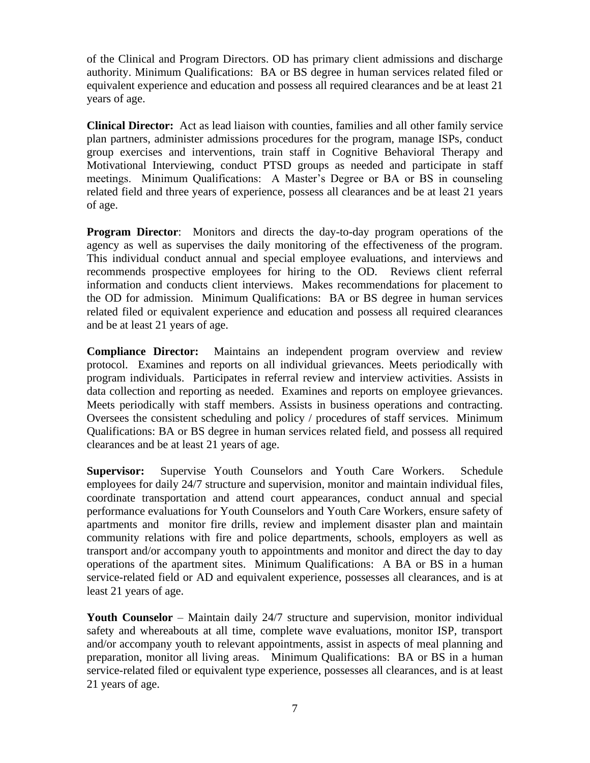of the Clinical and Program Directors. OD has primary client admissions and discharge authority. Minimum Qualifications: BA or BS degree in human services related filed or equivalent experience and education and possess all required clearances and be at least 21 years of age.

**Clinical Director:** Act as lead liaison with counties, families and all other family service plan partners, administer admissions procedures for the program, manage ISPs, conduct group exercises and interventions, train staff in Cognitive Behavioral Therapy and Motivational Interviewing, conduct PTSD groups as needed and participate in staff meetings. Minimum Qualifications: A Master's Degree or BA or BS in counseling related field and three years of experience, possess all clearances and be at least 21 years of age.

**Program Director**: Monitors and directs the day-to-day program operations of the agency as well as supervises the daily monitoring of the effectiveness of the program. This individual conduct annual and special employee evaluations, and interviews and recommends prospective employees for hiring to the OD. Reviews client referral information and conducts client interviews. Makes recommendations for placement to the OD for admission. Minimum Qualifications: BA or BS degree in human services related filed or equivalent experience and education and possess all required clearances and be at least 21 years of age.

**Compliance Director:** Maintains an independent program overview and review protocol. Examines and reports on all individual grievances. Meets periodically with program individuals. Participates in referral review and interview activities. Assists in data collection and reporting as needed. Examines and reports on employee grievances. Meets periodically with staff members. Assists in business operations and contracting. Oversees the consistent scheduling and policy / procedures of staff services. Minimum Qualifications: BA or BS degree in human services related field, and possess all required clearances and be at least 21 years of age.

**Supervisor:** Supervise Youth Counselors and Youth Care Workers. Schedule employees for daily 24/7 structure and supervision, monitor and maintain individual files, coordinate transportation and attend court appearances, conduct annual and special performance evaluations for Youth Counselors and Youth Care Workers, ensure safety of apartments and monitor fire drills, review and implement disaster plan and maintain community relations with fire and police departments, schools, employers as well as transport and/or accompany youth to appointments and monitor and direct the day to day operations of the apartment sites. Minimum Qualifications: A BA or BS in a human service-related field or AD and equivalent experience, possesses all clearances, and is at least 21 years of age.

**Youth Counselor** – Maintain daily 24/7 structure and supervision, monitor individual safety and whereabouts at all time, complete wave evaluations, monitor ISP, transport and/or accompany youth to relevant appointments, assist in aspects of meal planning and preparation, monitor all living areas. Minimum Qualifications: BA or BS in a human service-related filed or equivalent type experience, possesses all clearances, and is at least 21 years of age.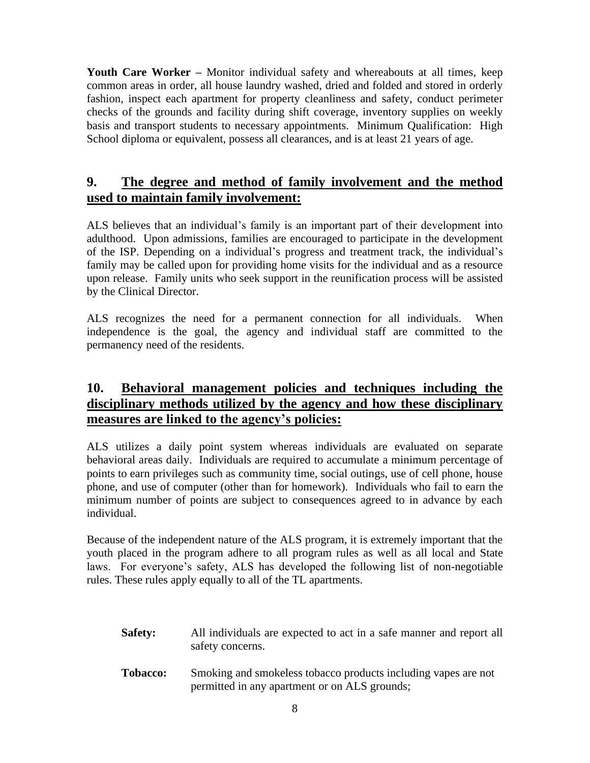**Youth Care Worker –** Monitor individual safety and whereabouts at all times, keep common areas in order, all house laundry washed, dried and folded and stored in orderly fashion, inspect each apartment for property cleanliness and safety, conduct perimeter checks of the grounds and facility during shift coverage, inventory supplies on weekly basis and transport students to necessary appointments. Minimum Qualification: High School diploma or equivalent, possess all clearances, and is at least 21 years of age.

# **9. The degree and method of family involvement and the method used to maintain family involvement:**

ALS believes that an individual's family is an important part of their development into adulthood. Upon admissions, families are encouraged to participate in the development of the ISP. Depending on a individual's progress and treatment track, the individual's family may be called upon for providing home visits for the individual and as a resource upon release. Family units who seek support in the reunification process will be assisted by the Clinical Director.

ALS recognizes the need for a permanent connection for all individuals. When independence is the goal, the agency and individual staff are committed to the permanency need of the residents.

# **10. Behavioral management policies and techniques including the disciplinary methods utilized by the agency and how these disciplinary measures are linked to the agency's policies:**

ALS utilizes a daily point system whereas individuals are evaluated on separate behavioral areas daily. Individuals are required to accumulate a minimum percentage of points to earn privileges such as community time, social outings, use of cell phone, house phone, and use of computer (other than for homework). Individuals who fail to earn the minimum number of points are subject to consequences agreed to in advance by each individual.

Because of the independent nature of the ALS program, it is extremely important that the youth placed in the program adhere to all program rules as well as all local and State laws. For everyone's safety, ALS has developed the following list of non-negotiable rules. These rules apply equally to all of the TL apartments.

- **Safety:** All individuals are expected to act in a safe manner and report all safety concerns.
- **Tobacco:** Smoking and smokeless tobacco products including vapes are not permitted in any apartment or on ALS grounds;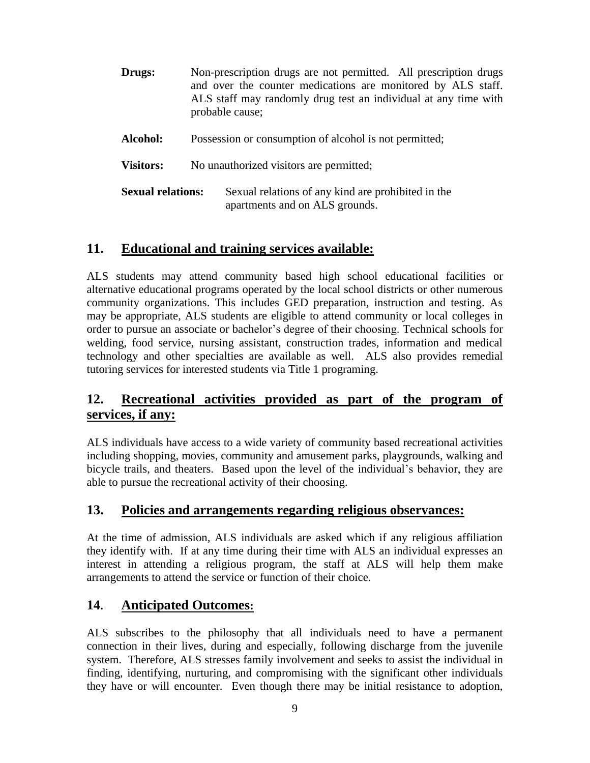| <b>Drugs:</b>            | Non-prescription drugs are not permitted. All prescription drugs<br>and over the counter medications are monitored by ALS staff.<br>ALS staff may randomly drug test an individual at any time with<br>probable cause; |
|--------------------------|------------------------------------------------------------------------------------------------------------------------------------------------------------------------------------------------------------------------|
| Alcohol:                 | Possession or consumption of alcohol is not permitted;                                                                                                                                                                 |
| <b>Visitors:</b>         | No unauthorized visitors are permitted;                                                                                                                                                                                |
| <b>Sexual relations:</b> | Sexual relations of any kind are prohibited in the<br>apartments and on ALS grounds.                                                                                                                                   |

## **11. Educational and training services available:**

ALS students may attend community based high school educational facilities or alternative educational programs operated by the local school districts or other numerous community organizations. This includes GED preparation, instruction and testing. As may be appropriate, ALS students are eligible to attend community or local colleges in order to pursue an associate or bachelor's degree of their choosing. Technical schools for welding, food service, nursing assistant, construction trades, information and medical technology and other specialties are available as well. ALS also provides remedial tutoring services for interested students via Title 1 programing.

# **12. Recreational activities provided as part of the program of services, if any:**

ALS individuals have access to a wide variety of community based recreational activities including shopping, movies, community and amusement parks, playgrounds, walking and bicycle trails, and theaters. Based upon the level of the individual's behavior, they are able to pursue the recreational activity of their choosing.

## **13. Policies and arrangements regarding religious observances:**

At the time of admission, ALS individuals are asked which if any religious affiliation they identify with. If at any time during their time with ALS an individual expresses an interest in attending a religious program, the staff at ALS will help them make arrangements to attend the service or function of their choice.

## **14. Anticipated Outcomes:**

ALS subscribes to the philosophy that all individuals need to have a permanent connection in their lives, during and especially, following discharge from the juvenile system. Therefore, ALS stresses family involvement and seeks to assist the individual in finding, identifying, nurturing, and compromising with the significant other individuals they have or will encounter. Even though there may be initial resistance to adoption,